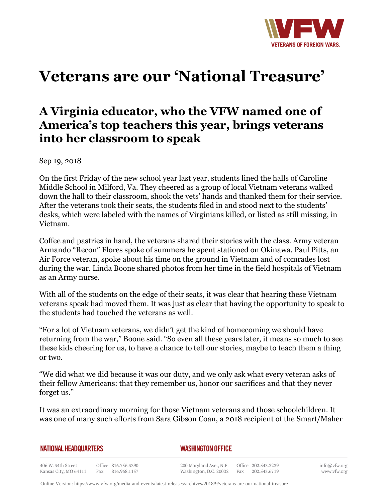

# **Veterans are our 'National Treasure'**

## **A Virginia educator, who the VFW named one of America's top teachers this year, brings veterans into her classroom to speak**

Sep 19, 2018

On the first Friday of the new school year last year, students lined the halls of Caroline Middle School in Milford, Va. They cheered as a group of local Vietnam veterans walked down the hall to their classroom, shook the vets' hands and thanked them for their service. After the veterans took their seats, the students filed in and stood next to the students' desks, which were labeled with the names of Virginians killed, or listed as still missing, in Vietnam.

Coffee and pastries in hand, the veterans shared their stories with the class. Army veteran Armando "Recon" Flores spoke of summers he spent stationed on Okinawa. Paul Pitts, an Air Force veteran, spoke about his time on the ground in Vietnam and of comrades lost during the war. Linda Boone shared photos from her time in the field hospitals of Vietnam as an Army nurse.

With all of the students on the edge of their seats, it was clear that hearing these Vietnam veterans speak had moved them. It was just as clear that having the opportunity to speak to the students had touched the veterans as well.

"For a lot of Vietnam veterans, we didn't get the kind of homecoming we should have returning from the war," Boone said. "So even all these years later, it means so much to see these kids cheering for us, to have a chance to tell our stories, maybe to teach them a thing or two.

"We did what we did because it was our duty, and we only ask what every veteran asks of their fellow Americans: that they remember us, honor our sacrifices and that they never forget us."

It was an extraordinary morning for those Vietnam veterans and those schoolchildren. It was one of many such efforts from Sara Gibson Coan, a 2018 recipient of the Smart/Maher

|  | NATIONAL HEADQUARTERS |
|--|-----------------------|
|  |                       |

#### *WASHINGTON OFFICE*

406 W. 34th Street Office 816.756.3390 Fax 816.968.1157 Kansas City, MO 64111

200 Maryland Ave., N.E. Washington, D.C. 20002 Fax

Office 202.543.2239 202.543.6719 info@vfw.org www.vfw.org

Online Version:<https://www.vfw.org/media-and-events/latest-releases/archives/2018/9/veterans-are-our-national-treasure>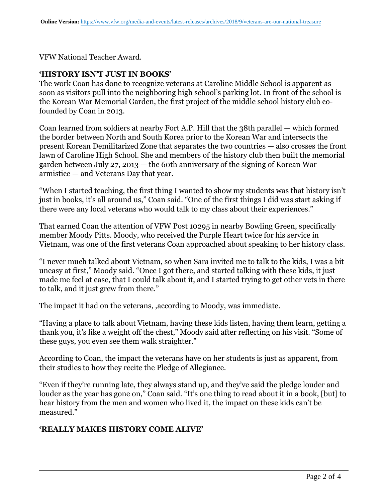VFW National Teacher Award.

#### **'HISTORY ISN'T JUST IN BOOKS'**

The work Coan has done to recognize veterans at Caroline Middle School is apparent as soon as visitors pull into the neighboring high school's parking lot. In front of the school is the Korean War Memorial Garden, the first project of the middle school history club cofounded by Coan in 2013.

Coan learned from soldiers at nearby Fort A.P. Hill that the 38th parallel — which formed the border between North and South Korea prior to the Korean War and intersects the present Korean Demilitarized Zone that separates the two countries — also crosses the front lawn of Caroline High School. She and members of the history club then built the memorial garden between July 27, 2013 — the 60th anniversary of the signing of Korean War armistice — and Veterans Day that year.

"When I started teaching, the first thing I wanted to show my students was that history isn't just in books, it's all around us," Coan said. "One of the first things I did was start asking if there were any local veterans who would talk to my class about their experiences."

That earned Coan the attention of VFW Post 10295 in nearby Bowling Green, specifically member Moody Pitts. Moody, who received the Purple Heart twice for his service in Vietnam, was one of the first veterans Coan approached about speaking to her history class.

"I never much talked about Vietnam, so when Sara invited me to talk to the kids, I was a bit uneasy at first," Moody said. "Once I got there, and started talking with these kids, it just made me feel at ease, that I could talk about it, and I started trying to get other vets in there to talk, and it just grew from there."

The impact it had on the veterans, ,according to Moody, was immediate.

"Having a place to talk about Vietnam, having these kids listen, having them learn, getting a thank you, it's like a weight off the chest," Moody said after reflecting on his visit. "Some of these guys, you even see them walk straighter."

According to Coan, the impact the veterans have on her students is just as apparent, from their studies to how they recite the Pledge of Allegiance.

"Even if they're running late, they always stand up, and they've said the pledge louder and louder as the year has gone on," Coan said. "It's one thing to read about it in a book, [but] to hear history from the men and women who lived it, the impact on these kids can't be measured."

### **'REALLY MAKES HISTORY COME ALIVE'**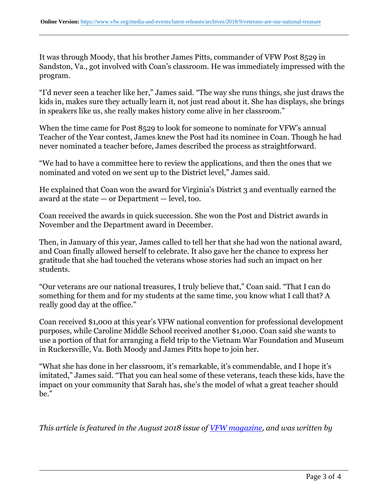It was through Moody, that his brother James Pitts, commander of VFW Post 8529 in Sandston, Va., got involved with Coan's classroom. He was immediately impressed with the program.

"I'd never seen a teacher like her," James said. "The way she runs things, she just draws the kids in, makes sure they actually learn it, not just read about it. She has displays, she brings in speakers like us, she really makes history come alive in her classroom."

When the time came for Post 8529 to look for someone to nominate for VFW's annual Teacher of the Year contest, James knew the Post had its nominee in Coan. Though he had never nominated a teacher before, James described the process as straightforward.

"We had to have a committee here to review the applications, and then the ones that we nominated and voted on we sent up to the District level," James said.

He explained that Coan won the award for Virginia's District 3 and eventually earned the award at the state — or Department — level, too.

Coan received the awards in quick succession. She won the Post and District awards in November and the Department award in December.

Then, in January of this year, James called to tell her that she had won the national award, and Coan finally allowed herself to celebrate. It also gave her the chance to express her gratitude that she had touched the veterans whose stories had such an impact on her students.

"Our veterans are our national treasures, I truly believe that," Coan said. "That I can do something for them and for my students at the same time, you know what I call that? A really good day at the office."

Coan received \$1,000 at this year's VFW national convention for professional development purposes, while Caroline Middle School received another \$1,000. Coan said she wants to use a portion of that for arranging a field trip to the Vietnam War Foundation and Museum in Ruckersville, Va. Both Moody and James Pitts hope to join her.

"What she has done in her classroom, it's remarkable, it's commendable, and I hope it's imitated," James said. "That you can heal some of these veterans, teach these kids, have the impact on your community that Sarah has, she's the model of what a great teacher should be."

*This article is featured in the August 2018 issue of [VFW magazine,](http://www.vfw.org/media-and-events/vfw-magazine) and was written by*